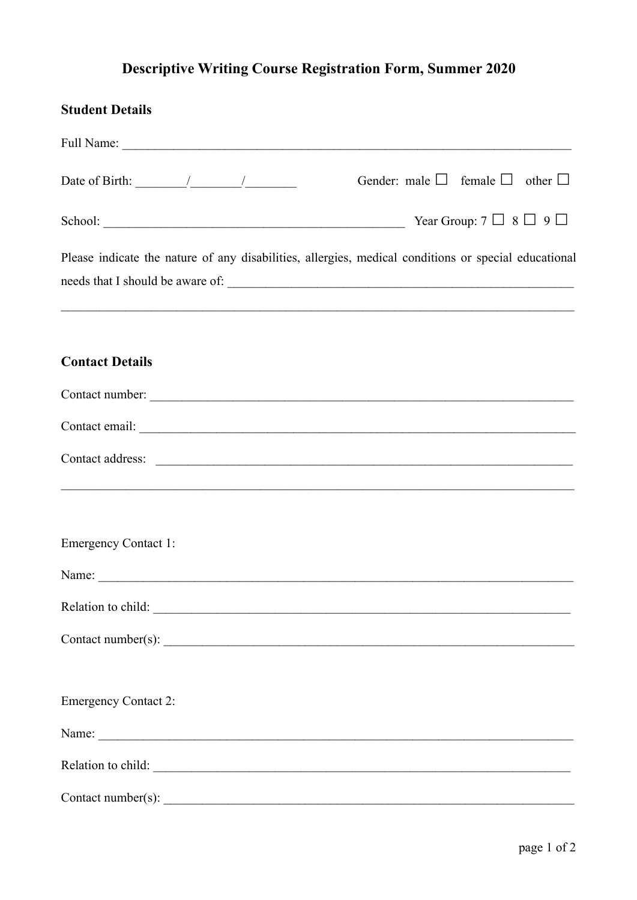## **Descriptive Writing Course Registration Form, Summer 2020**

| <b>Student Details</b>                                                                                                         |
|--------------------------------------------------------------------------------------------------------------------------------|
|                                                                                                                                |
| Gender: male $\Box$ female $\Box$ other $\Box$<br>Date of Birth: $\frac{1}{\sqrt{2\pi}}$                                       |
|                                                                                                                                |
| Please indicate the nature of any disabilities, allergies, medical conditions or special educational                           |
| <b>Contact Details</b>                                                                                                         |
| Contact number:                                                                                                                |
|                                                                                                                                |
| <u> 1989 - Johann Harry Harry Harry Harry Harry Harry Harry Harry Harry Harry Harry Harry Harry Harry Harry Harry</u>          |
| <b>Emergency Contact 1:</b>                                                                                                    |
| Name:<br><u> 1989 - Johann Barn, mars ann an t-Amhain Aonaich an t-Aonaich an t-Aonaich an t-Aonaich an t-Aonaich an t-Aon</u> |
| Relation to child:                                                                                                             |
|                                                                                                                                |
| <b>Emergency Contact 2:</b>                                                                                                    |
|                                                                                                                                |
| Relation to child:                                                                                                             |
| Contact number( $s$ ):                                                                                                         |